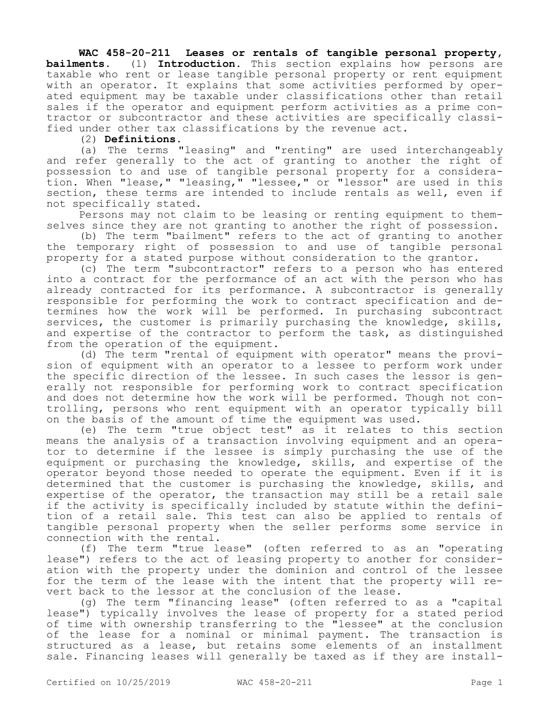## **WAC 458-20-211 Leases or rentals of tangible personal property,**

**bailments.** (1) **Introduction.** This section explains how persons are taxable who rent or lease tangible personal property or rent equipment with an operator. It explains that some activities performed by operated equipment may be taxable under classifications other than retail sales if the operator and equipment perform activities as a prime contractor or subcontractor and these activities are specifically classified under other tax classifications by the revenue act.

(2) **Definitions.**

(a) The terms "leasing" and "renting" are used interchangeably and refer generally to the act of granting to another the right of possession to and use of tangible personal property for a consideration. When "lease," "leasing," "lessee," or "lessor" are used in this section, these terms are intended to include rentals as well, even if not specifically stated.

Persons may not claim to be leasing or renting equipment to themselves since they are not granting to another the right of possession.

(b) The term "bailment" refers to the act of granting to another the temporary right of possession to and use of tangible personal property for a stated purpose without consideration to the grantor.

(c) The term "subcontractor" refers to a person who has entered into a contract for the performance of an act with the person who has already contracted for its performance. A subcontractor is generally responsible for performing the work to contract specification and determines how the work will be performed. In purchasing subcontract services, the customer is primarily purchasing the knowledge, skills, and expertise of the contractor to perform the task, as distinguished from the operation of the equipment.

(d) The term "rental of equipment with operator" means the provision of equipment with an operator to a lessee to perform work under the specific direction of the lessee. In such cases the lessor is generally not responsible for performing work to contract specification and does not determine how the work will be performed. Though not controlling, persons who rent equipment with an operator typically bill on the basis of the amount of time the equipment was used.

(e) The term "true object test" as it relates to this section means the analysis of a transaction involving equipment and an operator to determine if the lessee is simply purchasing the use of the equipment or purchasing the knowledge, skills, and expertise of the operator beyond those needed to operate the equipment. Even if it is determined that the customer is purchasing the knowledge, skills, and expertise of the operator, the transaction may still be a retail sale if the activity is specifically included by statute within the definition of a retail sale. This test can also be applied to rentals of tangible personal property when the seller performs some service in connection with the rental.

(f) The term "true lease" (often referred to as an "operating lease") refers to the act of leasing property to another for consideration with the property under the dominion and control of the lessee for the term of the lease with the intent that the property will revert back to the lessor at the conclusion of the lease.

(g) The term "financing lease" (often referred to as a "capital lease") typically involves the lease of property for a stated period of time with ownership transferring to the "lessee" at the conclusion of the lease for a nominal or minimal payment. The transaction is structured as a lease, but retains some elements of an installment sale. Financing leases will generally be taxed as if they are install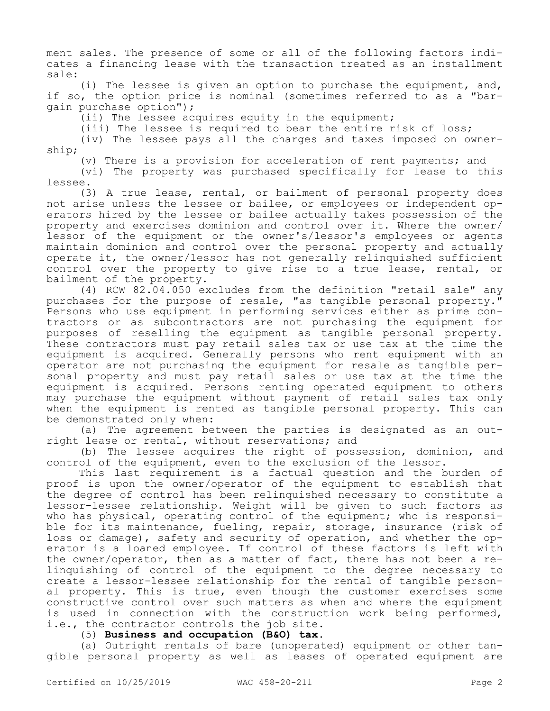ment sales. The presence of some or all of the following factors indicates a financing lease with the transaction treated as an installment sale:

(i) The lessee is given an option to purchase the equipment, and, if so, the option price is nominal (sometimes referred to as a "bargain purchase option");

(ii) The lessee acquires equity in the equipment;

(iii) The lessee is required to bear the entire risk of loss;

(iv) The lessee pays all the charges and taxes imposed on ownership;

(v) There is a provision for acceleration of rent payments; and

(vi) The property was purchased specifically for lease to this lessee.

(3) A true lease, rental, or bailment of personal property does not arise unless the lessee or bailee, or employees or independent operators hired by the lessee or bailee actually takes possession of the property and exercises dominion and control over it. Where the owner/ lessor of the equipment or the owner's/lessor's employees or agents maintain dominion and control over the personal property and actually operate it, the owner/lessor has not generally relinquished sufficient control over the property to give rise to a true lease, rental, or bailment of the property.

(4) RCW 82.04.050 excludes from the definition "retail sale" any purchases for the purpose of resale, "as tangible personal property." Persons who use equipment in performing services either as prime contractors or as subcontractors are not purchasing the equipment for purposes of reselling the equipment as tangible personal property. These contractors must pay retail sales tax or use tax at the time the equipment is acquired. Generally persons who rent equipment with an operator are not purchasing the equipment for resale as tangible personal property and must pay retail sales or use tax at the time the equipment is acquired. Persons renting operated equipment to others may purchase the equipment without payment of retail sales tax only when the equipment is rented as tangible personal property. This can be demonstrated only when:

(a) The agreement between the parties is designated as an outright lease or rental, without reservations; and

(b) The lessee acquires the right of possession, dominion, and control of the equipment, even to the exclusion of the lessor.

This last requirement is a factual question and the burden of proof is upon the owner/operator of the equipment to establish that the degree of control has been relinquished necessary to constitute a lessor-lessee relationship. Weight will be given to such factors as who has physical, operating control of the equipment; who is responsible for its maintenance, fueling, repair, storage, insurance (risk of loss or damage), safety and security of operation, and whether the operator is a loaned employee. If control of these factors is left with the owner/operator, then as a matter of fact, there has not been a relinquishing of control of the equipment to the degree necessary to create a lessor-lessee relationship for the rental of tangible personal property. This is true, even though the customer exercises some constructive control over such matters as when and where the equipment is used in connection with the construction work being performed, i.e., the contractor controls the job site.

## (5) **Business and occupation (B&O) tax.**

(a) Outright rentals of bare (unoperated) equipment or other tangible personal property as well as leases of operated equipment are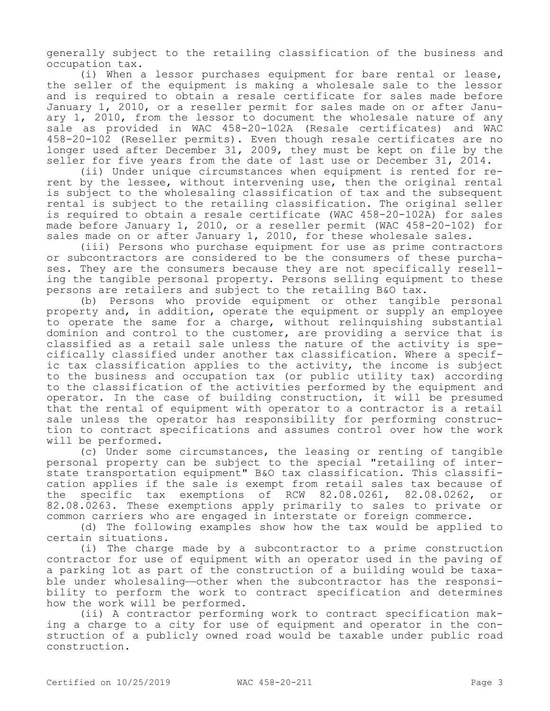generally subject to the retailing classification of the business and occupation tax.

(i) When a lessor purchases equipment for bare rental or lease, the seller of the equipment is making a wholesale sale to the lessor and is required to obtain a resale certificate for sales made before January 1, 2010, or a reseller permit for sales made on or after January 1, 2010, from the lessor to document the wholesale nature of any sale as provided in WAC 458-20-102A (Resale certificates) and WAC 458-20-102 (Reseller permits). Even though resale certificates are no longer used after December 31, 2009, they must be kept on file by the seller for five years from the date of last use or December 31, 2014.

(ii) Under unique circumstances when equipment is rented for rerent by the lessee, without intervening use, then the original rental is subject to the wholesaling classification of tax and the subsequent rental is subject to the retailing classification. The original seller is required to obtain a resale certificate (WAC 458-20-102A) for sales made before January 1, 2010, or a reseller permit (WAC 458-20-102) for sales made on or after January 1, 2010, for these wholesale sales.

(iii) Persons who purchase equipment for use as prime contractors or subcontractors are considered to be the consumers of these purchases. They are the consumers because they are not specifically reselling the tangible personal property. Persons selling equipment to these persons are retailers and subject to the retailing B&O tax.

(b) Persons who provide equipment or other tangible personal property and, in addition, operate the equipment or supply an employee to operate the same for a charge, without relinquishing substantial dominion and control to the customer, are providing a service that is classified as a retail sale unless the nature of the activity is specifically classified under another tax classification. Where a specific tax classification applies to the activity, the income is subject to the business and occupation tax (or public utility tax) according to the classification of the activities performed by the equipment and operator. In the case of building construction, it will be presumed that the rental of equipment with operator to a contractor is a retail sale unless the operator has responsibility for performing construction to contract specifications and assumes control over how the work will be performed.

(c) Under some circumstances, the leasing or renting of tangible personal property can be subject to the special "retailing of interstate transportation equipment" B&O tax classification. This classification applies if the sale is exempt from retail sales tax because of the specific tax exemptions of RCW 82.08.0261, 82.08.0262, or 82.08.0263. These exemptions apply primarily to sales to private or common carriers who are engaged in interstate or foreign commerce.

(d) The following examples show how the tax would be applied to certain situations.

(i) The charge made by a subcontractor to a prime construction contractor for use of equipment with an operator used in the paving of a parking lot as part of the construction of a building would be taxable under wholesaling—other when the subcontractor has the responsibility to perform the work to contract specification and determines how the work will be performed.

(ii) A contractor performing work to contract specification making a charge to a city for use of equipment and operator in the construction of a publicly owned road would be taxable under public road construction.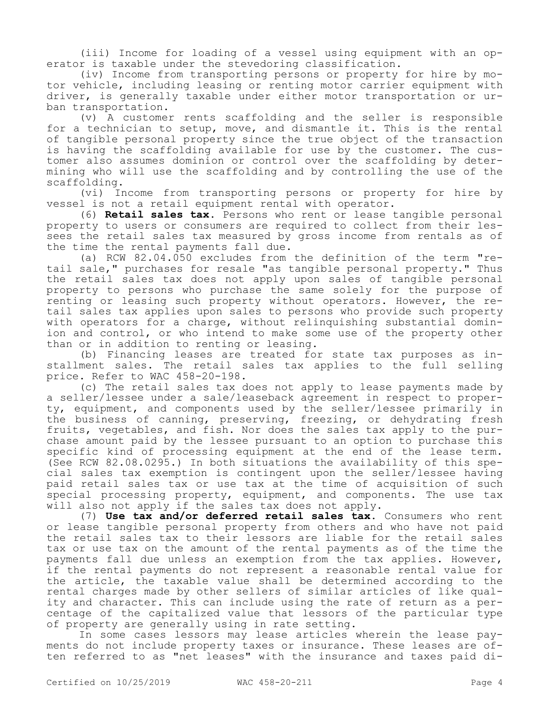(iii) Income for loading of a vessel using equipment with an operator is taxable under the stevedoring classification.

(iv) Income from transporting persons or property for hire by motor vehicle, including leasing or renting motor carrier equipment with driver, is generally taxable under either motor transportation or urban transportation.

(v) A customer rents scaffolding and the seller is responsible for a technician to setup, move, and dismantle it. This is the rental of tangible personal property since the true object of the transaction is having the scaffolding available for use by the customer. The customer also assumes dominion or control over the scaffolding by determining who will use the scaffolding and by controlling the use of the scaffolding.

(vi) Income from transporting persons or property for hire by vessel is not a retail equipment rental with operator.

(6) **Retail sales tax.** Persons who rent or lease tangible personal property to users or consumers are required to collect from their lessees the retail sales tax measured by gross income from rentals as of the time the rental payments fall due.

(a) RCW 82.04.050 excludes from the definition of the term "retail sale," purchases for resale "as tangible personal property." Thus the retail sales tax does not apply upon sales of tangible personal property to persons who purchase the same solely for the purpose of renting or leasing such property without operators. However, the retail sales tax applies upon sales to persons who provide such property with operators for a charge, without relinquishing substantial dominion and control, or who intend to make some use of the property other than or in addition to renting or leasing.

(b) Financing leases are treated for state tax purposes as installment sales. The retail sales tax applies to the full selling price. Refer to WAC 458-20-198.

(c) The retail sales tax does not apply to lease payments made by a seller/lessee under a sale/leaseback agreement in respect to property, equipment, and components used by the seller/lessee primarily in the business of canning, preserving, freezing, or dehydrating fresh fruits, vegetables, and fish. Nor does the sales tax apply to the purchase amount paid by the lessee pursuant to an option to purchase this specific kind of processing equipment at the end of the lease term. (See RCW 82.08.0295.) In both situations the availability of this special sales tax exemption is contingent upon the seller/lessee having paid retail sales tax or use tax at the time of acquisition of such special processing property, equipment, and components. The use tax will also not apply if the sales tax does not apply.

(7) **Use tax and/or deferred retail sales tax.** Consumers who rent or lease tangible personal property from others and who have not paid the retail sales tax to their lessors are liable for the retail sales tax or use tax on the amount of the rental payments as of the time the payments fall due unless an exemption from the tax applies. However, if the rental payments do not represent a reasonable rental value for the article, the taxable value shall be determined according to the rental charges made by other sellers of similar articles of like quality and character. This can include using the rate of return as a percentage of the capitalized value that lessors of the particular type of property are generally using in rate setting.

In some cases lessors may lease articles wherein the lease payments do not include property taxes or insurance. These leases are often referred to as "net leases" with the insurance and taxes paid di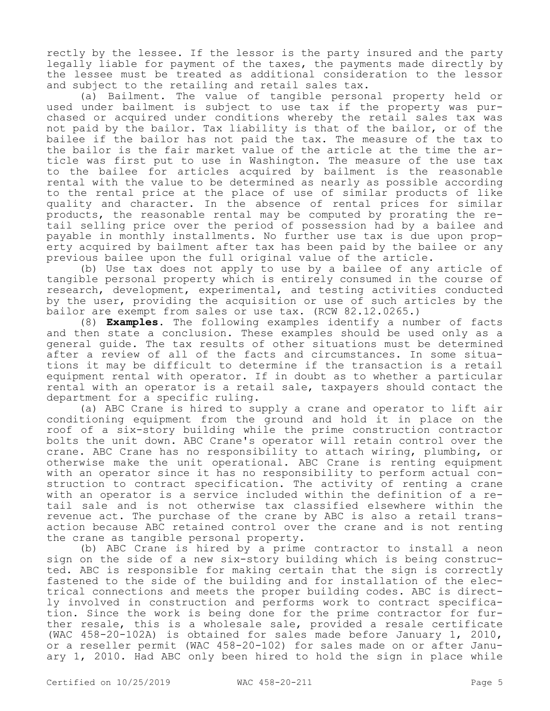rectly by the lessee. If the lessor is the party insured and the party legally liable for payment of the taxes, the payments made directly by the lessee must be treated as additional consideration to the lessor and subject to the retailing and retail sales tax.

(a) Bailment. The value of tangible personal property held or used under bailment is subject to use tax if the property was purchased or acquired under conditions whereby the retail sales tax was not paid by the bailor. Tax liability is that of the bailor, or of the bailee if the bailor has not paid the tax. The measure of the tax to the bailor is the fair market value of the article at the time the article was first put to use in Washington. The measure of the use tax to the bailee for articles acquired by bailment is the reasonable rental with the value to be determined as nearly as possible according to the rental price at the place of use of similar products of like quality and character. In the absence of rental prices for similar products, the reasonable rental may be computed by prorating the retail selling price over the period of possession had by a bailee and payable in monthly installments. No further use tax is due upon property acquired by bailment after tax has been paid by the bailee or any previous bailee upon the full original value of the article.

(b) Use tax does not apply to use by a bailee of any article of tangible personal property which is entirely consumed in the course of research, development, experimental, and testing activities conducted by the user, providing the acquisition or use of such articles by the bailor are exempt from sales or use tax. (RCW 82.12.0265.)

(8) **Examples.** The following examples identify a number of facts and then state a conclusion. These examples should be used only as a general guide. The tax results of other situations must be determined after a review of all of the facts and circumstances. In some situations it may be difficult to determine if the transaction is a retail equipment rental with operator. If in doubt as to whether a particular rental with an operator is a retail sale, taxpayers should contact the department for a specific ruling.

(a) ABC Crane is hired to supply a crane and operator to lift air conditioning equipment from the ground and hold it in place on the roof of a six-story building while the prime construction contractor bolts the unit down. ABC Crane's operator will retain control over the crane. ABC Crane has no responsibility to attach wiring, plumbing, or otherwise make the unit operational. ABC Crane is renting equipment with an operator since it has no responsibility to perform actual construction to contract specification. The activity of renting a crane with an operator is a service included within the definition of a retail sale and is not otherwise tax classified elsewhere within the revenue act. The purchase of the crane by ABC is also a retail transaction because ABC retained control over the crane and is not renting the crane as tangible personal property.

(b) ABC Crane is hired by a prime contractor to install a neon sign on the side of a new six-story building which is being constructed. ABC is responsible for making certain that the sign is correctly fastened to the side of the building and for installation of the electrical connections and meets the proper building codes. ABC is directly involved in construction and performs work to contract specification. Since the work is being done for the prime contractor for further resale, this is a wholesale sale, provided a resale certificate (WAC 458-20-102A) is obtained for sales made before January 1, 2010, or a reseller permit (WAC 458-20-102) for sales made on or after January 1, 2010. Had ABC only been hired to hold the sign in place while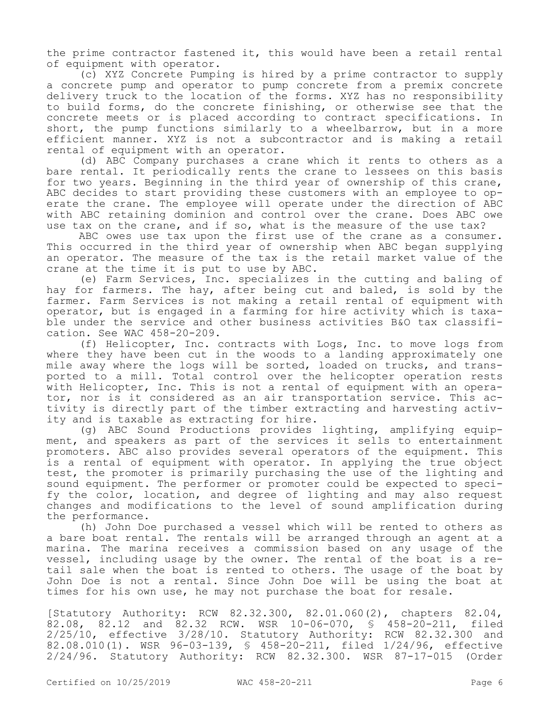the prime contractor fastened it, this would have been a retail rental of equipment with operator.

(c) XYZ Concrete Pumping is hired by a prime contractor to supply a concrete pump and operator to pump concrete from a premix concrete delivery truck to the location of the forms. XYZ has no responsibility to build forms, do the concrete finishing, or otherwise see that the concrete meets or is placed according to contract specifications. In short, the pump functions similarly to a wheelbarrow, but in a more efficient manner. XYZ is not a subcontractor and is making a retail rental of equipment with an operator.

(d) ABC Company purchases a crane which it rents to others as a bare rental. It periodically rents the crane to lessees on this basis for two years. Beginning in the third year of ownership of this crane, ABC decides to start providing these customers with an employee to operate the crane. The employee will operate under the direction of ABC with ABC retaining dominion and control over the crane. Does ABC owe use tax on the crane, and if so, what is the measure of the use tax?

ABC owes use tax upon the first use of the crane as a consumer. This occurred in the third year of ownership when ABC began supplying an operator. The measure of the tax is the retail market value of the crane at the time it is put to use by ABC.

(e) Farm Services, Inc. specializes in the cutting and baling of hay for farmers. The hay, after being cut and baled, is sold by the farmer. Farm Services is not making a retail rental of equipment with operator, but is engaged in a farming for hire activity which is taxable under the service and other business activities B&O tax classification. See WAC 458-20-209.

(f) Helicopter, Inc. contracts with Logs, Inc. to move logs from where they have been cut in the woods to a landing approximately one mile away where the logs will be sorted, loaded on trucks, and transported to a mill. Total control over the helicopter operation rests with Helicopter, Inc. This is not a rental of equipment with an operator, nor is it considered as an air transportation service. This activity is directly part of the timber extracting and harvesting activity and is taxable as extracting for hire.

(g) ABC Sound Productions provides lighting, amplifying equipment, and speakers as part of the services it sells to entertainment promoters. ABC also provides several operators of the equipment. This is a rental of equipment with operator. In applying the true object test, the promoter is primarily purchasing the use of the lighting and sound equipment. The performer or promoter could be expected to specify the color, location, and degree of lighting and may also request changes and modifications to the level of sound amplification during the performance.

(h) John Doe purchased a vessel which will be rented to others as a bare boat rental. The rentals will be arranged through an agent at a marina. The marina receives a commission based on any usage of the vessel, including usage by the owner. The rental of the boat is a retail sale when the boat is rented to others. The usage of the boat by John Doe is not a rental. Since John Doe will be using the boat at times for his own use, he may not purchase the boat for resale.

[Statutory Authority: RCW 82.32.300, 82.01.060(2), chapters 82.04, 82.08, 82.12 and 82.32 RCW. WSR 10-06-070, § 458-20-211, filed 2/25/10, effective 3/28/10. Statutory Authority: RCW 82.32.300 and 82.08.010(1). WSR 96-03-139, § 458-20-211, filed 1/24/96, effective 2/24/96. Statutory Authority: RCW 82.32.300. WSR 87-17-015 (Order